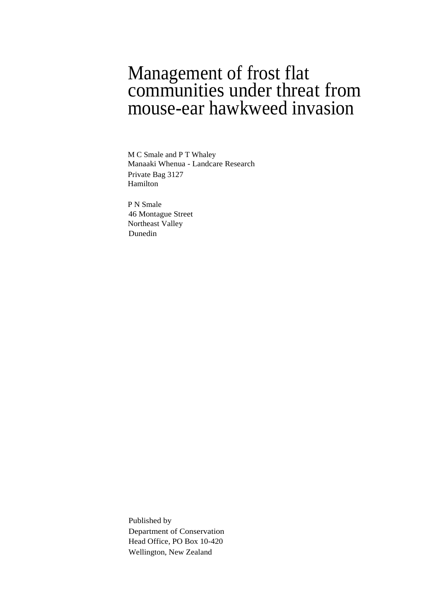### Management of frost flat communities under threat from mouse-ear hawkweed invasion

M C Smale and P T Whaley Manaaki Whenua - Landcare Research Private Bag 3127 Hamilton

P N Smale 46 Montague Street Northeast Valley Dunedin

Published by Department of Conservation Head Office, PO Box 10-420 Wellington, New Zealand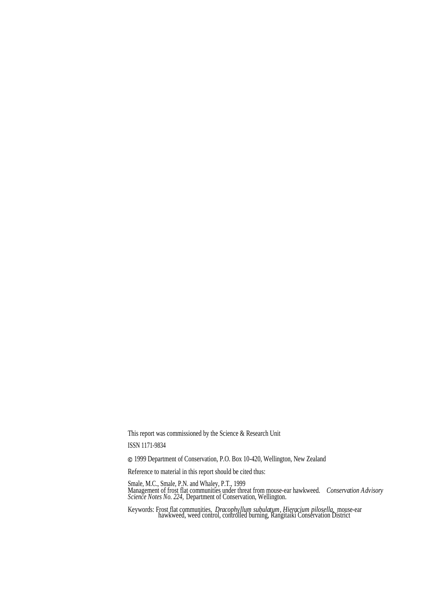This report was commissioned by the Science & Research Unit

ISSN 1171-9834

1999 Department of Conservation, P.O. Box 10-420, Wellington, New Zealand

Reference to material in this report should be cited thus:

Smale, M.C., Smale, P.N. and Whaley, P.T., 1999 Management of frost flat communities under threat from mouse-ear hawkweed. *Conservation Advisory Science Notes No. 224,* Department of Conservation, Wellington.

Keywords: Frost flat communities, *Dracophyllum subulatum, Hieracium pilosella,* mouse-ear hawkweed, weed control, controlled burning, Rangitaiki Conservation District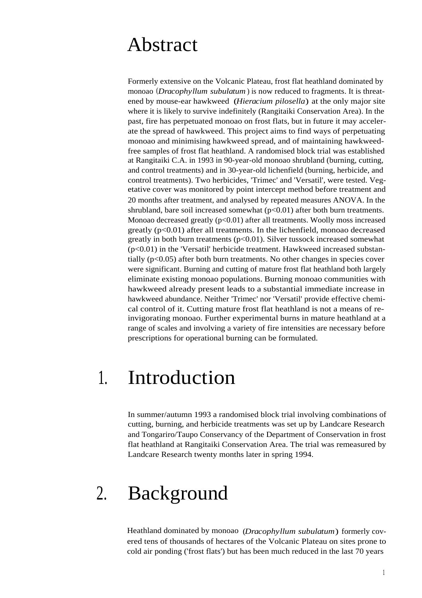### Abstract

Formerly extensive on the Volcanic Plateau, frost flat heathland dominated by monoao (*Dracophyllum subulatum*) is now reduced to fragments. It is threatened by mouse-ear hawkweed (*Hieracium pilosella*) at the only major site where it is likely to survive indefinitely (Rangitaiki Conservation Area). In the past, fire has perpetuated monoao on frost flats, but in future it may accelerate the spread of hawkweed. This project aims to find ways of perpetuating monoao and minimising hawkweed spread, and of maintaining hawkweedfree samples of frost flat heathland. A randomised block trial was established at Rangitaiki C.A. in 1993 in 90-year-old monoao shrubland (burning, cutting, and control treatments) and in 30-year-old lichenfield (burning, herbicide, and control treatments). Two herbicides, 'Trimec' and 'Versatil', were tested. Vegetative cover was monitored by point intercept method before treatment and 20 months after treatment, and analysed by repeated measures ANOVA. In the shrubland, bare soil increased somewhat  $(p<0.01)$  after both burn treatments. Monoao decreased greatly  $(p<0.01)$  after all treatments. Woolly moss increased greatly (p<0.01) after all treatments. In the lichenfield, monoao decreased greatly in both burn treatments  $(p<0.01)$ . Silver tussock increased somewhat  $(p<0.01)$  in the 'Versatil' herbicide treatment. Hawkweed increased substantially  $(p<0.05)$  after both burn treatments. No other changes in species cover were significant. Burning and cutting of mature frost flat heathland both largely eliminate existing monoao populations. Burning monoao communities with hawkweed already present leads to a substantial immediate increase in hawkweed abundance. Neither 'Trimec' nor 'Versatil' provide effective chemical control of it. Cutting mature frost flat heathland is not a means of reinvigorating monoao. Further experimental burns in mature heathland at a range of scales and involving a variety of fire intensities are necessary before prescriptions for operational burning can be formulated.

## 1. Introduction

In summer/autumn 1993 a randomised block trial involving combinations of cutting, burning, and herbicide treatments was set up by Landcare Research and Tongariro/Taupo Conservancy of the Department of Conservation in frost flat heathland at Rangitaiki Conservation Area. The trial was remeasured by Landcare Research twenty months later in spring 1994.

# 2. Background

Heathland dominated by monoao (*Dracophyllum subulatum*) formerly covered tens of thousands of hectares of the Volcanic Plateau on sites prone to cold air ponding ('frost flats') but has been much reduced in the last 70 years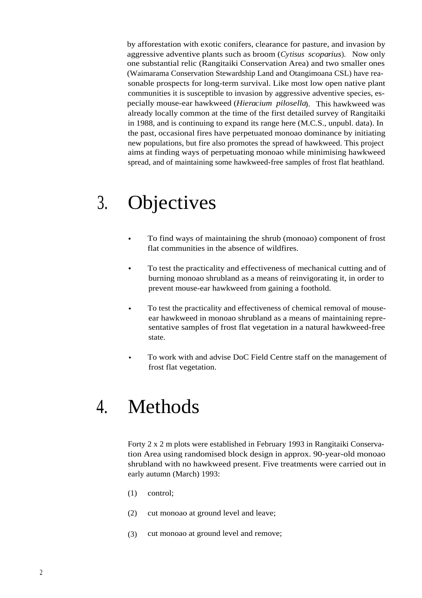by afforestation with exotic conifers, clearance for pasture, and invasion by aggressive adventive plants such as broom (*Cytisus scoparius*). Now only one substantial relic (Rangitaiki Conservation Area) and two smaller ones (Waimarama Conservation Stewardship Land and Otangimoana CSL) have reasonable prospects for long-term survival. Like most low open native plant communities it is susceptible to invasion by aggressive adventive species, especially mouse-ear hawkweed (*Hieracium pilosella*). This hawkweed was already locally common at the time of the first detailed survey of Rangitaiki in 1988, and is continuing to expand its range here (M.C.S., unpubl. data). In the past, occasional fires have perpetuated monoao dominance by initiating new populations, but fire also promotes the spread of hawkweed. This project aims at finding ways of perpetuating monoao while minimising hawkweed spread, and of maintaining some hawkweed-free samples of frost flat heathland.

# 3. Objectives

- To find ways of maintaining the shrub (monoao) component of frost flat communities in the absence of wildfires.
- To test the practicality and effectiveness of mechanical cutting and of  $\bullet$ burning monoao shrubland as a means of reinvigorating it, in order to prevent mouse-ear hawkweed from gaining a foothold.
- To test the practicality and effectiveness of chemical removal of mouseear hawkweed in monoao shrubland as a means of maintaining representative samples of frost flat vegetation in a natural hawkweed-free state.
- To work with and advise DoC Field Centre staff on the management of frost flat vegetation.

# 4. Methods

Forty 2 x 2 m plots were established in February 1993 in Rangitaiki Conservation Area using randomised block design in approx. 90-year-old monoao shrubland with no hawkweed present. Five treatments were carried out in early autumn (March) 1993:

- (1) control;
- (2) cut monoao at ground level and leave;
- (3) cut monoao at ground level and remove;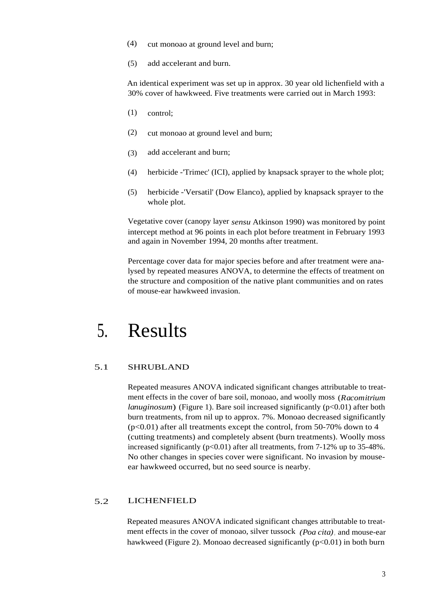- (4) cut monoao at ground level and burn;
- (5) add accelerant and burn.

An identical experiment was set up in approx. 30 year old lichenfield with a 30% cover of hawkweed. Five treatments were carried out in March 1993:

- (1) control;
- (2) cut monoao at ground level and burn;
- (3) add accelerant and burn;
- (4) herbicide -'Trimec' (ICI), applied by knapsack sprayer to the whole plot;
- (5) herbicide -'Versatil' (Dow Elanco), applied by knapsack sprayer to the whole plot.

Vegetative cover (canopy layer *sensu* Atkinson 1990) was monitored by point intercept method at 96 points in each plot before treatment in February 1993 and again in November 1994, 20 months after treatment.

Percentage cover data for major species before and after treatment were analysed by repeated measures ANOVA, to determine the effects of treatment on the structure and composition of the native plant communities and on rates of mouse-ear hawkweed invasion.

### 5. Results

#### 5.1 SHRUBLAND

Repeated measures ANOVA indicated significant changes attributable to treatment effects in the cover of bare soil, monoao, and woolly moss (*Racomitrium lanuginosum*) (Figure 1). Bare soil increased significantly (p<0.01) after both burn treatments, from nil up to approx. 7%. Monoao decreased significantly  $(p<0.01)$  after all treatments except the control, from 50-70% down to 4 (cutting treatments) and completely absent (burn treatments). Woolly moss increased significantly  $(p<0.01)$  after all treatments, from 7-12% up to 35-48%. No other changes in species cover were significant. No invasion by mouseear hawkweed occurred, but no seed source is nearby.

#### 5.2 LICHENFIELD

Repeated measures ANOVA indicated significant changes attributable to treatment effects in the cover of monoao, silver tussock *(Poa cita)*, and mouse-ear hawkweed (Figure 2). Monoao decreased significantly  $(p<0.01)$  in both burn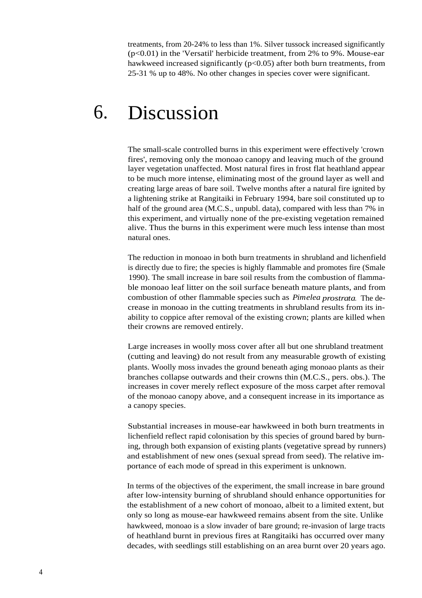treatments, from 20-24% to less than 1%. Silver tussock increased significantly  $(p<0.01)$  in the 'Versatil' herbicide treatment, from 2% to 9%. Mouse-ear hawkweed increased significantly ( $p<0.05$ ) after both burn treatments, from 25-31 % up to 48%. No other changes in species cover were significant.

### 6. Discussion

The small-scale controlled burns in this experiment were effectively 'crown fires', removing only the monoao canopy and leaving much of the ground layer vegetation unaffected. Most natural fires in frost flat heathland appear to be much more intense, eliminating most of the ground layer as well and creating large areas of bare soil. Twelve months after a natural fire ignited by a lightening strike at Rangitaiki in February 1994, bare soil constituted up to half of the ground area (M.C.S., unpubl. data), compared with less than 7% in this experiment, and virtually none of the pre-existing vegetation remained alive. Thus the burns in this experiment were much less intense than most natural ones.

The reduction in monoao in both burn treatments in shrubland and lichenfield is directly due to fire; the species is highly flammable and promotes fire (Smale 1990). The small increase in bare soil results from the combustion of flammable monoao leaf litter on the soil surface beneath mature plants, and from combustion of other flammable species such as *Pimelea prostrata*. The decrease in monoao in the cutting treatments in shrubland results from its inability to coppice after removal of the existing crown; plants are killed when their crowns are removed entirely.

Large increases in woolly moss cover after all but one shrubland treatment (cutting and leaving) do not result from any measurable growth of existing plants. Woolly moss invades the ground beneath aging monoao plants as their branches collapse outwards and their crowns thin (M.C.S., pers. obs.). The increases in cover merely reflect exposure of the moss carpet after removal of the monoao canopy above, and a consequent increase in its importance as a canopy species.

Substantial increases in mouse-ear hawkweed in both burn treatments in lichenfield reflect rapid colonisation by this species of ground bared by burning, through both expansion of existing plants (vegetative spread by runners) and establishment of new ones (sexual spread from seed). The relative importance of each mode of spread in this experiment is unknown.

In terms of the objectives of the experiment, the small increase in bare ground after low-intensity burning of shrubland should enhance opportunities for the establishment of a new cohort of monoao, albeit to a limited extent, but only so long as mouse-ear hawkweed remains absent from the site. Unlike hawkweed, monoao is a slow invader of bare ground; re-invasion of large tracts of heathland burnt in previous fires at Rangitaiki has occurred over many decades, with seedlings still establishing on an area burnt over 20 years ago.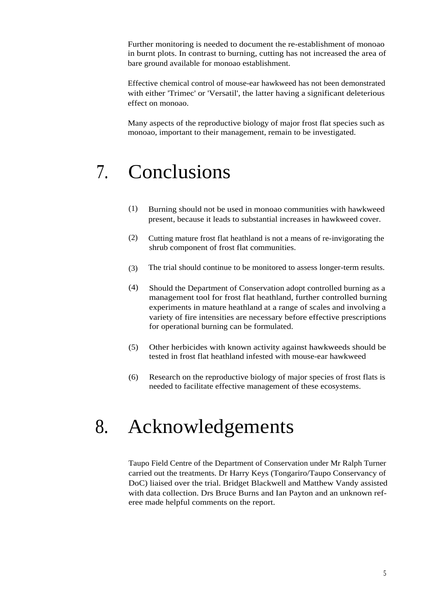Further monitoring is needed to document the re-establishment of monoao in burnt plots. In contrast to burning, cutting has not increased the area of bare ground available for monoao establishment.

Effective chemical control of mouse-ear hawkweed has not been demonstrated with either 'Trimec' or 'Versatil', the latter having a significant deleterious effect on monoao.

Many aspects of the reproductive biology of major frost flat species such as monoao, important to their management, remain to be investigated.

# 7. Conclusions

- (1) Burning should not be used in monoao communities with hawkweed present, because it leads to substantial increases in hawkweed cover.
- (2) Cutting mature frost flat heathland is not a means of re-invigorating the shrub component of frost flat communities.
- (3) The trial should continue to be monitored to assess longer-term results.
- (4) Should the Department of Conservation adopt controlled burning as a management tool for frost flat heathland, further controlled burning experiments in mature heathland at a range of scales and involving a variety of fire intensities are necessary before effective prescriptions for operational burning can be formulated.
- (5) Other herbicides with known activity against hawkweeds should be tested in frost flat heathland infested with mouse-ear hawkweed
- (6) Research on the reproductive biology of major species of frost flats is needed to facilitate effective management of these ecosystems.

## 8. Acknowledgements

Taupo Field Centre of the Department of Conservation under Mr Ralph Turner carried out the treatments. Dr Harry Keys (Tongariro/Taupo Conservancy of DoC) liaised over the trial. Bridget Blackwell and Matthew Vandy assisted with data collection. Drs Bruce Burns and Ian Payton and an unknown referee made helpful comments on the report.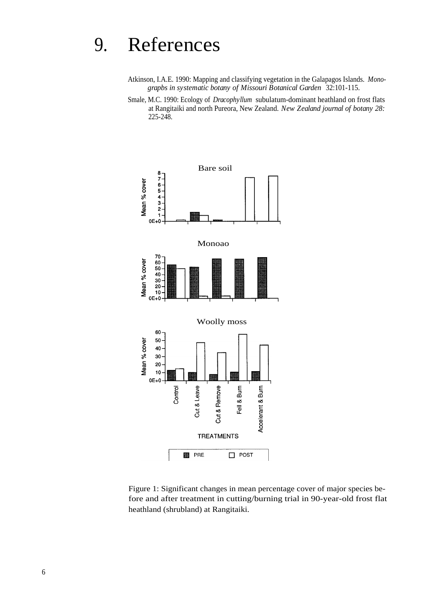## 9. References

- Atkinson, I.A.E. 1990: Mapping and classifying vegetation in the Galapagos Islands. *Monograpbs in systematic botany of Missouri Botanical Garden* 32:101-115.
- Smale, M.C. 1990: Ecology of *Dracophyllum* subulatum-dominant heathland on frost flats at Rangitaiki and north Pureora, New Zealand. *New Zealand journal of botany 28:* 225-248.



Figure 1: Significant changes in mean percentage cover of major species before and after treatment in cutting/burning trial in 90-year-old frost flat heathland (shrubland) at Rangitaiki.